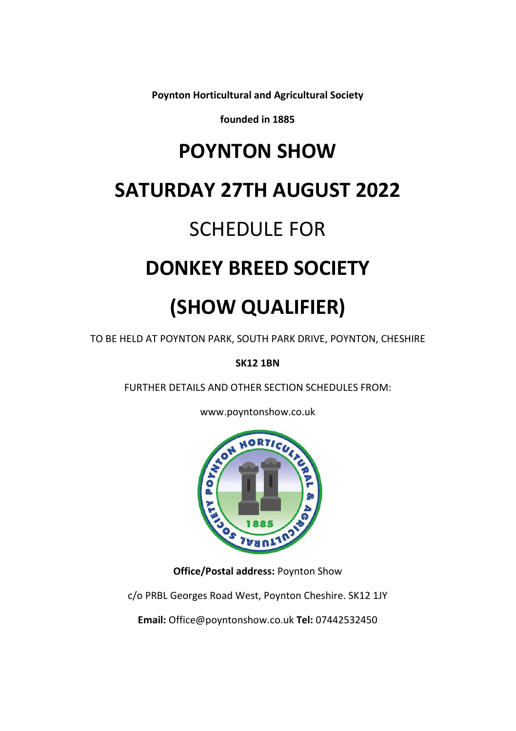**Poynton Horticultural and Agricultural Society**

**founded in 1885**

# **POYNTON SHOW**

# **SATURDAY 27TH AUGUST 2022**

# SCHEDULE FOR

# **DONKEY BREED SOCIETY**

# **(SHOW QUALIFIER)**

TO BE HELD AT POYNTON PARK, SOUTH PARK DRIVE, POYNTON, CHESHIRE

**SK12 1BN**

FURTHER DETAILS AND OTHER SECTION SCHEDULES FROM:





**Office/Postal address:** Poynton Show

c/o PRBL Georges Road West, Poynton Cheshire. SK12 1JY

**Email:** Office@poyntonshow.co.uk **Tel:** 07442532450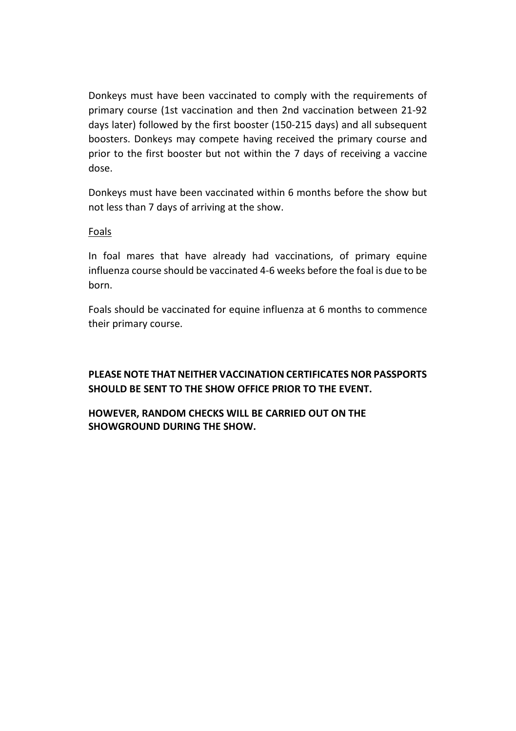Donkeys must have been vaccinated to comply with the requirements of primary course (1st vaccination and then 2nd vaccination between 21-92 days later) followed by the first booster (150-215 days) and all subsequent boosters. Donkeys may compete having received the primary course and prior to the first booster but not within the 7 days of receiving a vaccine dose.

Donkeys must have been vaccinated within 6 months before the show but not less than 7 days of arriving at the show.

#### Foals

In foal mares that have already had vaccinations, of primary equine influenza course should be vaccinated 4-6 weeks before the foal is due to be born.

Foals should be vaccinated for equine influenza at 6 months to commence their primary course.

### **PLEASE NOTE THAT NEITHER VACCINATION CERTIFICATES NOR PASSPORTS SHOULD BE SENT TO THE SHOW OFFICE PRIOR TO THE EVENT.**

### **HOWEVER, RANDOM CHECKS WILL BE CARRIED OUT ON THE SHOWGROUND DURING THE SHOW.**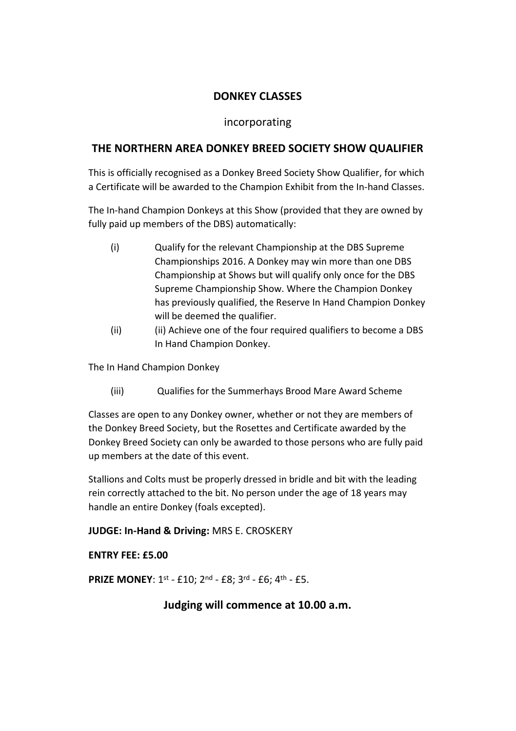## **DONKEY CLASSES**

### incorporating

### **THE NORTHERN AREA DONKEY BREED SOCIETY SHOW QUALIFIER**

This is officially recognised as a Donkey Breed Society Show Qualifier, for which a Certificate will be awarded to the Champion Exhibit from the In-hand Classes.

The In-hand Champion Donkeys at this Show (provided that they are owned by fully paid up members of the DBS) automatically:

- (i) Qualify for the relevant Championship at the DBS Supreme Championships 2016. A Donkey may win more than one DBS Championship at Shows but will qualify only once for the DBS Supreme Championship Show. Where the Champion Donkey has previously qualified, the Reserve In Hand Champion Donkey will be deemed the qualifier.
- (ii) (ii) Achieve one of the four required qualifiers to become a DBS In Hand Champion Donkey.

The In Hand Champion Donkey

(iii) Qualifies for the Summerhays Brood Mare Award Scheme

Classes are open to any Donkey owner, whether or not they are members of the Donkey Breed Society, but the Rosettes and Certificate awarded by the Donkey Breed Society can only be awarded to those persons who are fully paid up members at the date of this event.

Stallions and Colts must be properly dressed in bridle and bit with the leading rein correctly attached to the bit. No person under the age of 18 years may handle an entire Donkey (foals excepted).

**JUDGE: In-Hand & Driving:** MRS E. CROSKERY

**ENTRY FEE: £5.00**

**PRIZE MONEY**: 1st - £10; 2nd - £8; 3rd - £6; 4th - £5.

**Judging will commence at 10.00 a.m.**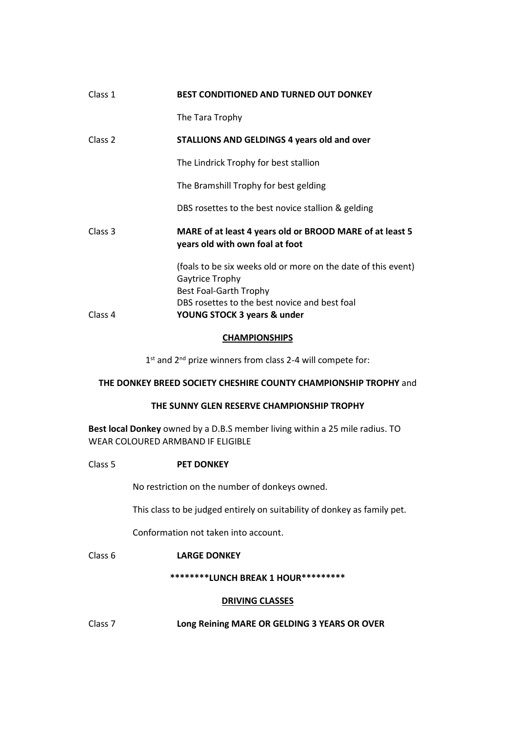| Class 1            | BEST CONDITIONED AND TURNED OUT DONKEY                                                                     |  |
|--------------------|------------------------------------------------------------------------------------------------------------|--|
|                    | The Tara Trophy                                                                                            |  |
| Class <sub>2</sub> | STALLIONS AND GELDINGS 4 years old and over                                                                |  |
|                    | The Lindrick Trophy for best stallion                                                                      |  |
|                    | The Bramshill Trophy for best gelding                                                                      |  |
|                    | DBS rosettes to the best novice stallion & gelding                                                         |  |
| Class <sub>3</sub> | MARE of at least 4 years old or BROOD MARE of at least 5<br>years old with own foal at foot                |  |
|                    | (foals to be six weeks old or more on the date of this event)<br>Gaytrice Trophy<br>Best Foal-Garth Trophy |  |
| Class 4            | DBS rosettes to the best novice and best foal<br>YOUNG STOCK 3 years & under                               |  |
|                    |                                                                                                            |  |

#### **CHAMPIONSHIPS**

1<sup>st</sup> and 2<sup>nd</sup> prize winners from class 2-4 will compete for:

#### **THE DONKEY BREED SOCIETY CHESHIRE COUNTY CHAMPIONSHIP TROPHY** and

#### **THE SUNNY GLEN RESERVE CHAMPIONSHIP TROPHY**

**Best local Donkey** owned by a D.B.S member living within a 25 mile radius. TO WEAR COLOURED ARMBAND IF ELIGIBLE

#### Class 5 **PET DONKEY**

No restriction on the number of donkeys owned.

This class to be judged entirely on suitability of donkey as family pet.

Conformation not taken into account.

#### Class 6 **LARGE DONKEY**

#### **\*\*\*\*\*\*\*\*LUNCH BREAK 1 HOUR\*\*\*\*\*\*\*\*\***

#### **DRIVING CLASSES**

Class 7 **Long Reining MARE OR GELDING 3 YEARS OR OVER**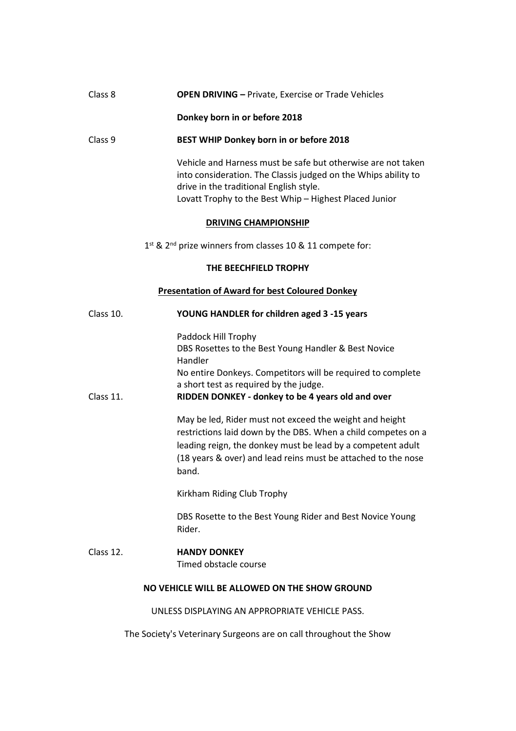#### Class 8 **OPEN DRIVING –** Private, Exercise or Trade Vehicles

#### **Donkey born in or before 2018**

#### Class 9 **BEST WHIP Donkey born in or before 2018**

Vehicle and Harness must be safe but otherwise are not taken into consideration. The Classis judged on the Whips ability to drive in the traditional English style. Lovatt Trophy to the Best Whip – Highest Placed Junior

#### **DRIVING CHAMPIONSHIP**

1<sup>st</sup> & 2<sup>nd</sup> prize winners from classes 10 & 11 compete for:

#### **THE BEECHFIELD TROPHY**

#### **Presentation of Award for best Coloured Donkey**

| Class 10.                                     | YOUNG HANDLER for children aged 3 -15 years                                                                                                                                                                                                                       |  |
|-----------------------------------------------|-------------------------------------------------------------------------------------------------------------------------------------------------------------------------------------------------------------------------------------------------------------------|--|
| Class 11.                                     | Paddock Hill Trophy<br>DBS Rosettes to the Best Young Handler & Best Novice<br>Handler<br>No entire Donkeys. Competitors will be required to complete<br>a short test as required by the judge.<br>RIDDEN DONKEY - donkey to be 4 years old and over              |  |
|                                               | May be led, Rider must not exceed the weight and height<br>restrictions laid down by the DBS. When a child competes on a<br>leading reign, the donkey must be lead by a competent adult<br>(18 years & over) and lead reins must be attached to the nose<br>band. |  |
|                                               | Kirkham Riding Club Trophy                                                                                                                                                                                                                                        |  |
|                                               | DBS Rosette to the Best Young Rider and Best Novice Young<br>Rider.                                                                                                                                                                                               |  |
| Class 12.                                     | <b>HANDY DONKEY</b><br>Timed obstacle course                                                                                                                                                                                                                      |  |
| NO VEHICLE WILL BE ALLOWED ON THE SHOW GROUND |                                                                                                                                                                                                                                                                   |  |
|                                               | UNLESS DISPLAYING AN APPROPRIATE VEHICLE PASS.                                                                                                                                                                                                                    |  |

The Society's Veterinary Surgeons are on call throughout the Show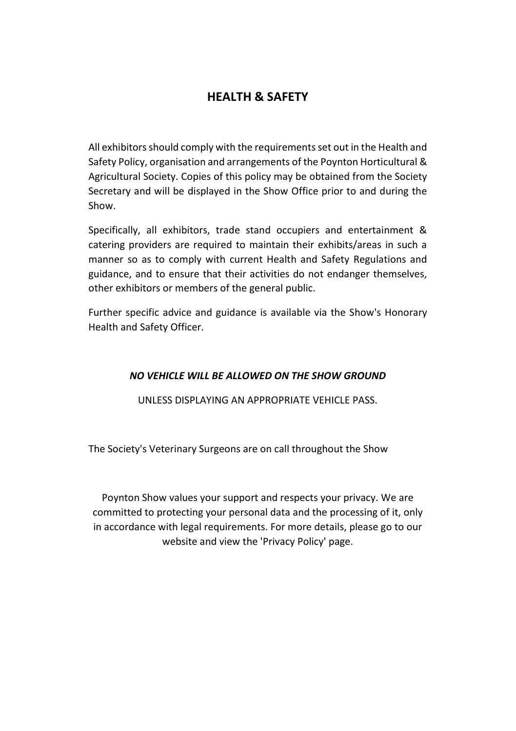## **HEALTH & SAFETY**

All exhibitors should comply with the requirements set out in the Health and Safety Policy, organisation and arrangements of the Poynton Horticultural & Agricultural Society. Copies of this policy may be obtained from the Society Secretary and will be displayed in the Show Office prior to and during the Show.

Specifically, all exhibitors, trade stand occupiers and entertainment & catering providers are required to maintain their exhibits/areas in such a manner so as to comply with current Health and Safety Regulations and guidance, and to ensure that their activities do not endanger themselves, other exhibitors or members of the general public.

Further specific advice and guidance is available via the Show's Honorary Health and Safety Officer.

### *NO VEHICLE WILL BE ALLOWED ON THE SHOW GROUND*

UNLESS DISPLAYING AN APPROPRIATE VEHICLE PASS.

The Society's Veterinary Surgeons are on call throughout the Show

Poynton Show values your support and respects your privacy. We are committed to protecting your personal data and the processing of it, only in accordance with legal requirements. For more details, please go to our website and view the 'Privacy Policy' page.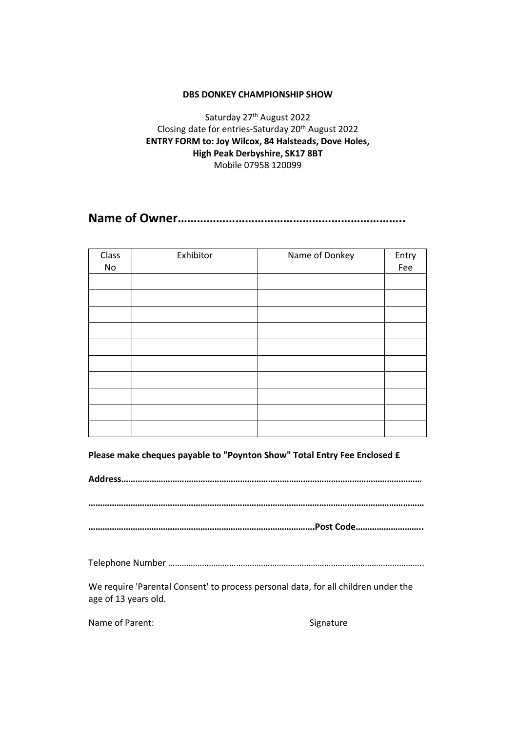#### **DBS DONKEY CHAMPIONSHIP SHOW**

Saturday 27<sup>th</sup> August 2022 Closing date for entries-Saturday 20th August 2022 **ENTRY FORM to: Joy Wilcox, 84 Halsteads, Dove Holes, High Peak Derbyshire, SK17 8BT** Mobile 07958 120099

**Name of Owner……………………………………………………………..**

| Class | Exhibitor | Name of Donkey | Entry |
|-------|-----------|----------------|-------|
| No    |           |                | Fee   |
|       |           |                |       |
|       |           |                |       |
|       |           |                |       |
|       |           |                |       |
|       |           |                |       |
|       |           |                |       |
|       |           |                |       |
|       |           |                |       |
|       |           |                |       |
|       |           |                |       |

**Please make cheques payable to "Poynton Show" Total Entry Fee Enclosed £**

**Address…………………………………………………………………………………………………………………**

**………………………………………………………………………………………………………………………………**

**…………………………………………………………………………………….Post Code………………………..**

Telephone Number …………………………………………………………………………………………………..

We require 'Parental Consent' to process personal data, for all children under the age of 13 years old.

Name of Parent: Signature